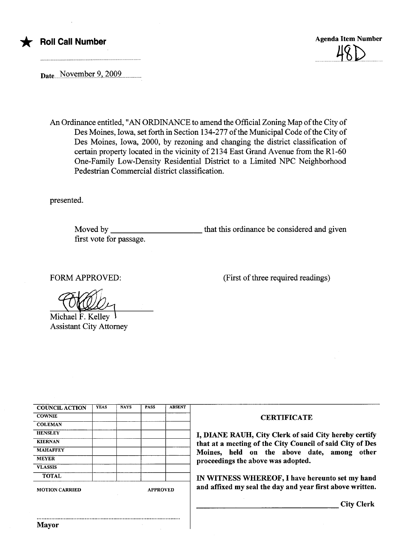

\* Roll Call Number Agenda Item Number Agenda Item Number  $\overline{\phantom{a}}$ 

Date...November 9, 2009

An Ordinance entitled, "AN ORDINANCE to amend the Official Zoning Map of the City of Des Moines, Iowa, set forth in Section 134-277 of the Muncipal Code of the City of Des Moines, Iowa, 2000, by rezoning and changing the district classification of certain property located in the vicinity of 2134 East Grand Avenue from the  $R1-60$ One-Family Low-Density Residential District to a Limited NPC Neighborhood Pedestran Commercial district classification.

presented.

Moved by first vote for passage. that this ordinance be considered and given

FORM APPROVED:

(First of three required readings)

Michael F. Kellev Assistant City Attorney

| <b>COUNCIL ACTION</b> | <b>YEAS</b> | <b>NAYS</b>     | <b>PASS</b> | <b>ABSENT</b> |
|-----------------------|-------------|-----------------|-------------|---------------|
| <b>COWNIE</b>         |             |                 |             |               |
|                       |             |                 |             |               |
| <b>COLEMAN</b>        |             |                 |             |               |
| <b>HENSLEY</b>        |             |                 |             |               |
| <b>KIERNAN</b>        |             |                 |             |               |
| <b>MAHAFFEY</b>       |             |                 |             |               |
| <b>MEYER</b>          |             |                 |             |               |
| <b>VLASSIS</b>        |             |                 |             |               |
| <b>TOTAL</b>          |             |                 |             |               |
| <b>MOTION CARRIED</b> |             | <b>APPROVED</b> |             |               |

..........................................................................................

## **CERTIFICATE**

I, DIANE RAUH, City Clerk of said City hereby certify that at a meeting of the City Council of said City of Des Moines, held on the above date, among other proceedings the above was adopted.

IN WITNESS WHEREOF, I have hereunto set my hand and affixed my seal the day and year first above written.

City Clerk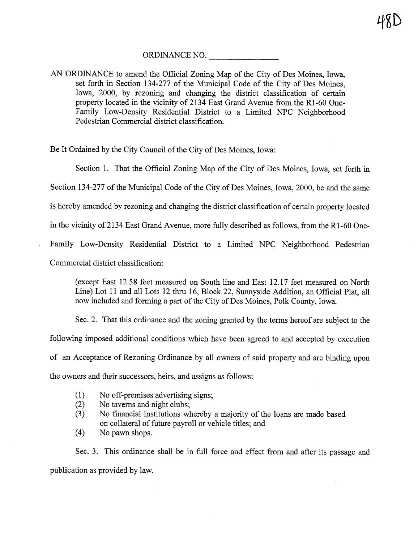## ORDINANCE NO.

AN ORDINANCE to amend the Official Zoning Map of the City of Des Moines, Iowa, set forth in Section 134-277 of the Municipal Code of the City of Des Moines, Iowa, 2000, by rezoning and changing the district classification of certain property located in the vicinity of 2134 East Grand Avenue from the Rl-60 One-Family Low-Density Residential District to a Limited NPC Neighborhood Pedestrian Commercial district classification.

Be It Ordained by the City Council of the City of Des Moines, Iowa:

Section 1. That the Official Zoning Map of the City of Des Moines, Iowa, set forth in

Section 134-277 of the Municipal Code of the City of Des Moines, Iowa, 2000, be and the same

is hereby amended by rezoning and changing the district classification of certain property located

in the vicinity of 2134 East Grand Avenue, more fully described as follows, from the R1-60 One-

Famly Low-Density Residential District to a Limited NPC Neighborhood Pedestrian

Commercial district classification:

(except East 12.58 feet measured on South line and East 12.17 feet measured on Nort Line) Lot 11 and all Lots 12 thru 16, Block 22, Sunnyside Addition, an Official Plat, all now included and forming a part of the City of Des Moines, Polk County, Iowa.

Sec. 2. That this ordinance and the zoning granted by the terms hereof are subject to the followig imposed additional conditions which have been agreed to and accepted by execution of an Acceptance of Rezoning Ordinance by all owners of said property and are binding upon the owners and their successors, heirs, and assigns as follows:

- (1) No off-premises advertising signs;<br>(2) No taverns and night clubs;
- No taverns and night clubs;
- (3) No financial institutions whereby a majority of the loans are made based on collateral of futue payroll or vehicle titles; and
- (4) No pawn shops.

Sec. 3. This ordinance shall be in full force and effect from and after its passage and publication as provided by law.